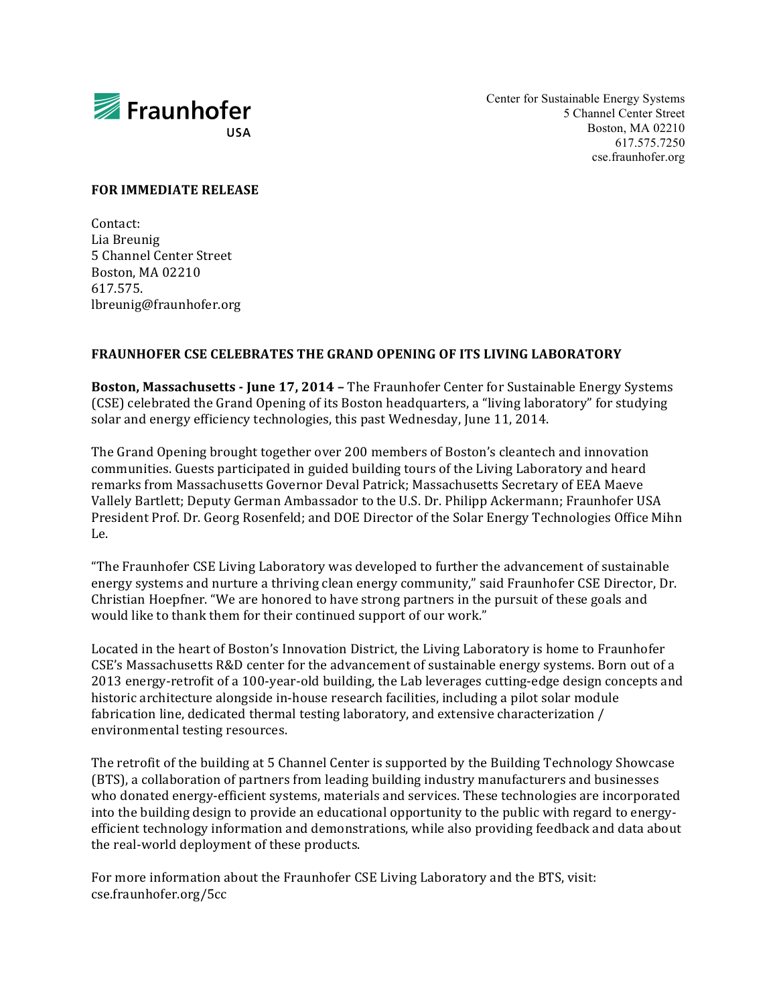

Center for Sustainable Energy Systems 5 Channel Center Street Boston, MA 02210 617.575.7250 cse.fraunhofer.org

## **FOR IMMEDIATE RELEASE**

Contact: Lia Breunig 5 Channel Center Street Boston, MA 02210 617.575. lbreunig@fraunhofer.org

## **FRAUNHOFER CSE CELEBRATES THE GRAND OPENING OF ITS LIVING LABORATORY**

**Boston, Massachusetts - June 17, 2014 - The Fraunhofer Center for Sustainable Energy Systems** (CSE) celebrated the Grand Opening of its Boston headquarters, a "living laboratory" for studying solar and energy efficiency technologies, this past Wednesday, June 11, 2014.

The Grand Opening brought together over 200 members of Boston's cleantech and innovation communities. Guests participated in guided building tours of the Living Laboratory and heard remarks from Massachusetts Governor Deval Patrick; Massachusetts Secretary of EEA Maeve Vallely Bartlett; Deputy German Ambassador to the U.S. Dr. Philipp Ackermann; Fraunhofer USA President Prof. Dr. Georg Rosenfeld; and DOE Director of the Solar Energy Technologies Office Mihn Le.

"The Fraunhofer CSE Living Laboratory was developed to further the advancement of sustainable energy systems and nurture a thriving clean energy community," said Fraunhofer CSE Director, Dr. Christian Hoepfner. "We are honored to have strong partners in the pursuit of these goals and would like to thank them for their continued support of our work."

Located in the heart of Boston's Innovation District, the Living Laboratory is home to Fraunhofer CSE's Massachusetts R&D center for the advancement of sustainable energy systems. Born out of a 2013 energy-retrofit of a 100-year-old building, the Lab leverages cutting-edge design concepts and historic architecture alongside in-house research facilities, including a pilot solar module fabrication line, dedicated thermal testing laboratory, and extensive characterization / environmental testing resources.

The retrofit of the building at 5 Channel Center is supported by the Building Technology Showcase (BTS), a collaboration of partners from leading building industry manufacturers and businesses who donated energy-efficient systems, materials and services. These technologies are incorporated into the building design to provide an educational opportunity to the public with regard to energyefficient technology information and demonstrations, while also providing feedback and data about the real-world deployment of these products.

For more information about the Fraunhofer CSE Living Laboratory and the BTS, visit: cse.fraunhofer.org/5cc